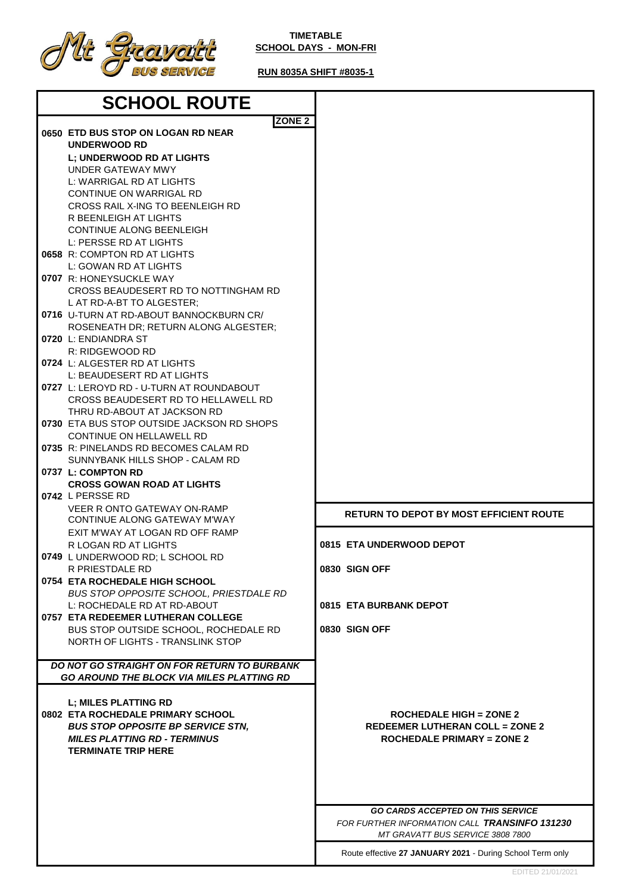

|                                                  | <b>SCHOOL ROUTE</b>                                                |                                                           |
|--------------------------------------------------|--------------------------------------------------------------------|-----------------------------------------------------------|
|                                                  | <b>ZONE 2</b>                                                      |                                                           |
|                                                  | 0650 ETD BUS STOP ON LOGAN RD NEAR<br>UNDERWOOD RD                 |                                                           |
|                                                  | L; UNDERWOOD RD AT LIGHTS                                          |                                                           |
|                                                  | UNDER GATEWAY MWY                                                  |                                                           |
|                                                  | L: WARRIGAL RD AT LIGHTS                                           |                                                           |
|                                                  | CONTINUE ON WARRIGAL RD                                            |                                                           |
|                                                  | CROSS RAIL X-ING TO BEENLEIGH RD                                   |                                                           |
|                                                  | R BEENLEIGH AT LIGHTS                                              |                                                           |
|                                                  | CONTINUE ALONG BEENLEIGH                                           |                                                           |
|                                                  | L: PERSSE RD AT LIGHTS                                             |                                                           |
|                                                  | 0658 R: COMPTON RD AT LIGHTS                                       |                                                           |
|                                                  | L: GOWAN RD AT LIGHTS                                              |                                                           |
|                                                  | 0707 R: HONEYSUCKLE WAY                                            |                                                           |
|                                                  | CROSS BEAUDESERT RD TO NOTTINGHAM RD                               |                                                           |
|                                                  | L AT RD-A-BT TO ALGESTER:                                          |                                                           |
|                                                  | 0716 U-TURN AT RD-ABOUT BANNOCKBURN CR/                            |                                                           |
|                                                  | ROSENEATH DR; RETURN ALONG ALGESTER;                               |                                                           |
|                                                  | 0720 L: ENDIANDRA ST                                               |                                                           |
|                                                  | R: RIDGEWOOD RD<br>0724 L: ALGESTER RD AT LIGHTS                   |                                                           |
|                                                  | L: BEAUDESERT RD AT LIGHTS                                         |                                                           |
|                                                  | 0727 L: LEROYD RD - U-TURN AT ROUNDABOUT                           |                                                           |
|                                                  | CROSS BEAUDESERT RD TO HELLAWELL RD                                |                                                           |
|                                                  | THRU RD-ABOUT AT JACKSON RD                                        |                                                           |
|                                                  | 0730 ETA BUS STOP OUTSIDE JACKSON RD SHOPS                         |                                                           |
|                                                  | CONTINUE ON HELLAWELL RD                                           |                                                           |
|                                                  | 0735 R: PINELANDS RD BECOMES CALAM RD                              |                                                           |
|                                                  | SUNNYBANK HILLS SHOP - CALAM RD                                    |                                                           |
|                                                  | 0737 L: COMPTON RD                                                 |                                                           |
|                                                  | <b>CROSS GOWAN ROAD AT LIGHTS</b>                                  |                                                           |
|                                                  | 0742 L PERSSE RD                                                   |                                                           |
|                                                  | <b>VEER R ONTO GATEWAY ON-RAMP</b><br>CONTINUE ALONG GATEWAY M'WAY | <b>RETURN TO DEPOT BY MOST EFFICIENT ROUTE</b>            |
|                                                  | EXIT M'WAY AT LOGAN RD OFF RAMP                                    |                                                           |
|                                                  | R LOGAN RD AT LIGHTS                                               | 0815 ETA UNDERWOOD DEPOT                                  |
|                                                  | 0749 L UNDERWOOD RD; L SCHOOL RD                                   |                                                           |
|                                                  | R PRIESTDALE RD                                                    | 0830 SIGN OFF                                             |
|                                                  | 0754 ETA ROCHEDALE HIGH SCHOOL                                     |                                                           |
|                                                  | BUS STOP OPPOSITE SCHOOL, PRIESTDALE RD                            |                                                           |
|                                                  | L: ROCHEDALE RD AT RD-ABOUT                                        | 0815 ETA BURBANK DEPOT                                    |
|                                                  | 0757 ETA REDEEMER LUTHERAN COLLEGE                                 |                                                           |
|                                                  | BUS STOP OUTSIDE SCHOOL, ROCHEDALE RD                              | 0830 SIGN OFF                                             |
|                                                  | NORTH OF LIGHTS - TRANSLINK STOP                                   |                                                           |
|                                                  | DO NOT GO STRAIGHT ON FOR RETURN TO BURBANK                        |                                                           |
| <b>GO AROUND THE BLOCK VIA MILES PLATTING RD</b> |                                                                    |                                                           |
|                                                  |                                                                    |                                                           |
|                                                  | <b>L; MILES PLATTING RD</b>                                        |                                                           |
|                                                  | 0802 ETA ROCHEDALE PRIMARY SCHOOL                                  | ROCHEDALE HIGH = $ZONE 2$                                 |
|                                                  | <b>BUS STOP OPPOSITE BP SERVICE STN.</b>                           | <b>REDEEMER LUTHERAN COLL = ZONE 2</b>                    |
|                                                  | <b>MILES PLATTING RD - TERMINUS</b>                                | <b>ROCHEDALE PRIMARY = ZONE 2</b>                         |
|                                                  | <b>TERMINATE TRIP HERE</b>                                         |                                                           |
|                                                  |                                                                    |                                                           |
|                                                  |                                                                    |                                                           |
|                                                  |                                                                    |                                                           |
|                                                  |                                                                    | <b>GO CARDS ACCEPTED ON THIS SERVICE</b>                  |
|                                                  |                                                                    | FOR FURTHER INFORMATION CALL <b>TRANSINFO 131230</b>      |
|                                                  |                                                                    | MT GRAVATT BUS SERVICE 3808 7800                          |
|                                                  |                                                                    | Route effective 27 JANUARY 2021 - During School Term only |

Ц